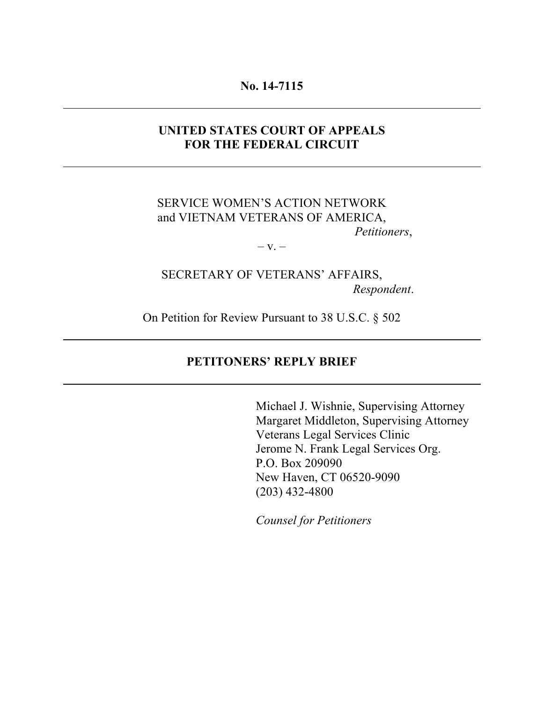#### **No. 14-7115**

#### **UNITED STATES COURT OF APPEALS FOR THE FEDERAL CIRCUIT**

#### SERVICE WOMEN'S ACTION NETWORK and VIETNAM VETERANS OF AMERICA, *Petitioners*,

 $-V. -$ 

# SECRETARY OF VETERANS' AFFAIRS, *Respondent*.

On Petition for Review Pursuant to 38 U.S.C. § 502

#### **PETITONERS' REPLY BRIEF**

Michael J. Wishnie, Supervising Attorney Margaret Middleton, Supervising Attorney Veterans Legal Services Clinic Jerome N. Frank Legal Services Org. P.O. Box 209090 New Haven, CT 06520-9090 (203) 432-4800

*Counsel for Petitioners*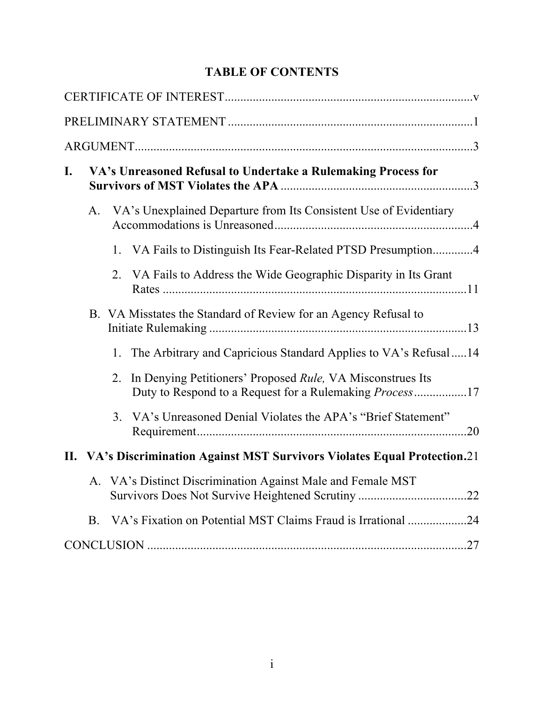# **TABLE OF CONTENTS**

| I. | VA's Unreasoned Refusal to Undertake a Rulemaking Process for |         |                                                                            |  |  |
|----|---------------------------------------------------------------|---------|----------------------------------------------------------------------------|--|--|
|    | A.                                                            |         | VA's Unexplained Departure from Its Consistent Use of Evidentiary          |  |  |
|    |                                                               | $1_{-}$ | VA Fails to Distinguish Its Fear-Related PTSD Presumption4                 |  |  |
|    |                                                               | $2_{-}$ | VA Fails to Address the Wide Geographic Disparity in Its Grant             |  |  |
|    |                                                               |         | B. VA Misstates the Standard of Review for an Agency Refusal to            |  |  |
|    |                                                               |         | 1. The Arbitrary and Capricious Standard Applies to VA's Refusal14         |  |  |
|    |                                                               | 2.      | In Denying Petitioners' Proposed <i>Rule</i> , VA Misconstrues Its         |  |  |
|    |                                                               |         | 3. VA's Unreasoned Denial Violates the APA's "Brief Statement"<br>.20      |  |  |
|    |                                                               |         | II. VA's Discrimination Against MST Survivors Violates Equal Protection.21 |  |  |
|    |                                                               |         | A. VA's Distinct Discrimination Against Male and Female MST                |  |  |
|    | <b>B</b> .                                                    |         | VA's Fixation on Potential MST Claims Fraud is Irrational 24               |  |  |
|    |                                                               |         |                                                                            |  |  |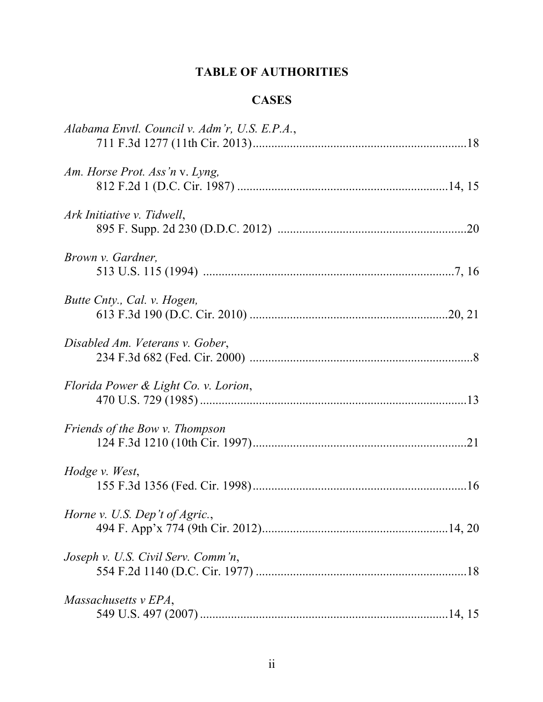# **TABLE OF AUTHORITIES**

# **CASES**

| Alabama Envtl. Council v. Adm'r, U.S. E.P.A., |
|-----------------------------------------------|
| Am. Horse Prot. Ass'n v. Lyng,                |
| Ark Initiative v. Tidwell,                    |
| Brown v. Gardner,                             |
| Butte Cnty., Cal. v. Hogen,                   |
| Disabled Am. Veterans v. Gober,               |
| Florida Power & Light Co. v. Lorion,          |
| Friends of the Bow v. Thompson                |
| Hodge v. West,                                |
| Horne v. U.S. Dep't of Agric.,                |
| Joseph v. U.S. Civil Serv. Comm'n,            |
| Massachusetts v EPA,                          |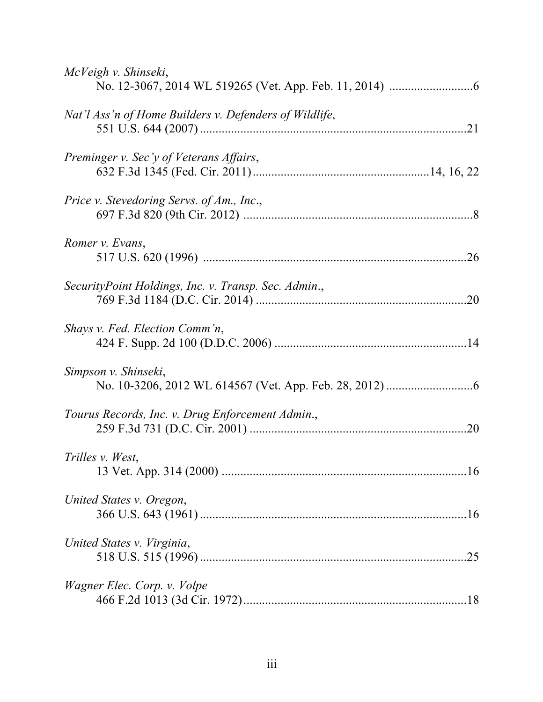| McVeigh v. Shinseki,                                   |     |
|--------------------------------------------------------|-----|
| Nat'l Ass'n of Home Builders v. Defenders of Wildlife, |     |
| Preminger v. Sec'y of Veterans Affairs,                |     |
| Price v. Stevedoring Servs. of Am., Inc.,              |     |
| Romer v. Evans,                                        | .26 |
| SecurityPoint Holdings, Inc. v. Transp. Sec. Admin.,   |     |
| Shays v. Fed. Election Comm'n,                         |     |
| Simpson v. Shinseki,                                   |     |
| Tourus Records, Inc. v. Drug Enforcement Admin.,       |     |
| Trilles v. West,                                       |     |
| United States v. Oregon,                               |     |
| United States v. Virginia,                             | .25 |
| Wagner Elec. Corp. v. Volpe                            |     |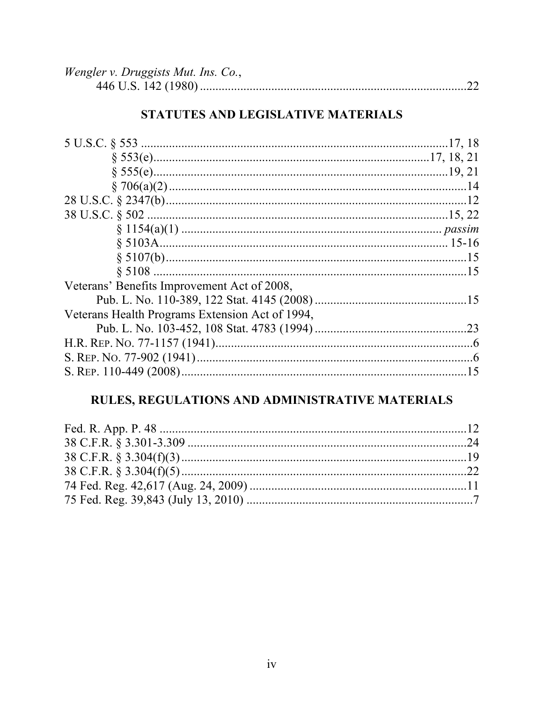| <i>Wengler v. Druggists Mut. Ins. Co.,</i> |  |
|--------------------------------------------|--|
|                                            |  |

# STATUTES AND LEGISLATIVE MATERIALS

| Veterans' Benefits Improvement Act of 2008,     |  |
|-------------------------------------------------|--|
|                                                 |  |
| Veterans Health Programs Extension Act of 1994, |  |
|                                                 |  |
|                                                 |  |
|                                                 |  |
|                                                 |  |

# RULES, REGULATIONS AND ADMINISTRATIVE MATERIALS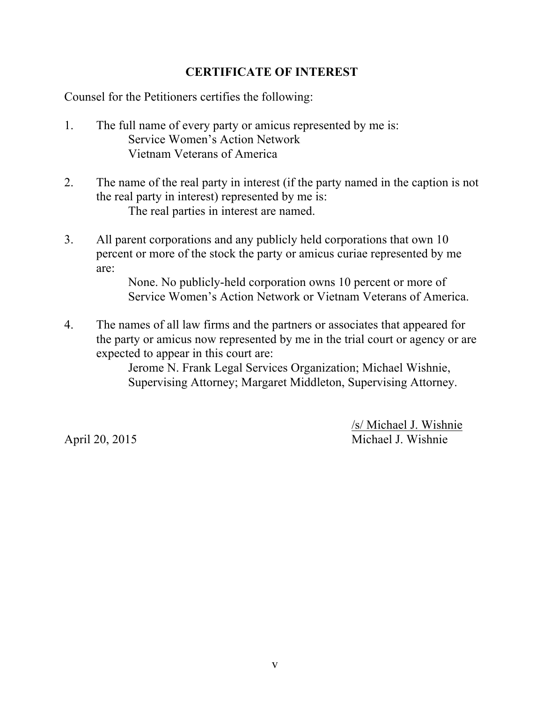## **CERTIFICATE OF INTEREST**

Counsel for the Petitioners certifies the following:

- 1. The full name of every party or amicus represented by me is: Service Women's Action Network Vietnam Veterans of America
- 2. The name of the real party in interest (if the party named in the caption is not the real party in interest) represented by me is: The real parties in interest are named.
- 3. All parent corporations and any publicly held corporations that own 10 percent or more of the stock the party or amicus curiae represented by me are:

None. No publicly-held corporation owns 10 percent or more of Service Women's Action Network or Vietnam Veterans of America.

4. The names of all law firms and the partners or associates that appeared for the party or amicus now represented by me in the trial court or agency or are expected to appear in this court are:

> Jerome N. Frank Legal Services Organization; Michael Wishnie, Supervising Attorney; Margaret Middleton, Supervising Attorney.

/s/ Michael J. Wishnie April 20, 2015 Michael J. Wishnie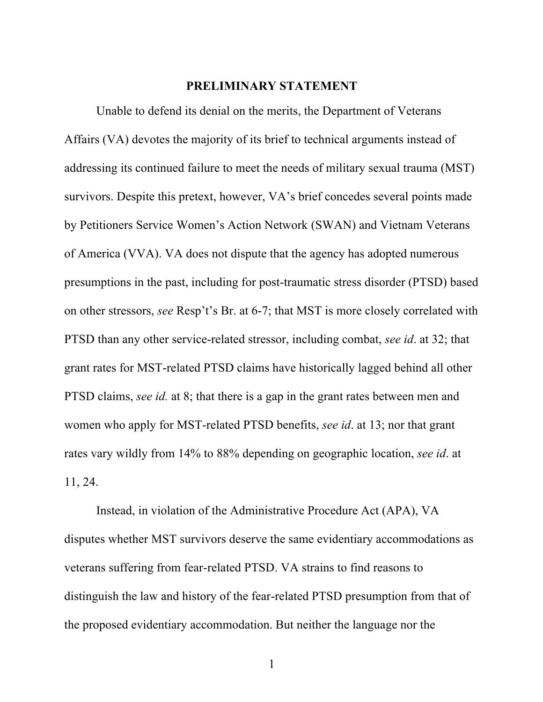#### **PRELIMINARY STATEMENT**

Unable to defend its denial on the merits, the Department of Veterans Affairs (VA) devotes the majority of its brief to technical arguments instead of addressing its continued failure to meet the needs of military sexual trauma (MST) survivors. Despite this pretext, however, VA's brief concedes several points made by Petitioners Service Women's Action Network (SWAN) and Vietnam Veterans of America (VVA). VA does not dispute that the agency has adopted numerous presumptions in the past, including for post-traumatic stress disorder (PTSD) based on other stressors, *see* Resp't's Br. at 6-7; that MST is more closely correlated with PTSD than any other service-related stressor, including combat, *see id*. at 32; that grant rates for MST-related PTSD claims have historically lagged behind all other PTSD claims, *see id.* at 8; that there is a gap in the grant rates between men and women who apply for MST-related PTSD benefits, *see id*. at 13; nor that grant rates vary wildly from 14% to 88% depending on geographic location, *see id*. at 11, 24.

Instead, in violation of the Administrative Procedure Act (APA), VA disputes whether MST survivors deserve the same evidentiary accommodations as veterans suffering from fear-related PTSD. VA strains to find reasons to distinguish the law and history of the fear-related PTSD presumption from that of the proposed evidentiary accommodation. But neither the language nor the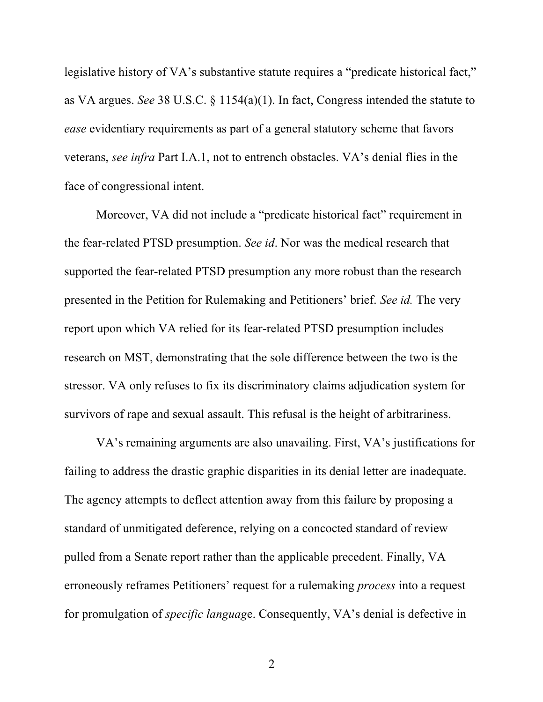legislative history of VA's substantive statute requires a "predicate historical fact," as VA argues. *See* 38 U.S.C. § 1154(a)(1). In fact, Congress intended the statute to *ease* evidentiary requirements as part of a general statutory scheme that favors veterans, *see infra* Part I.A.1, not to entrench obstacles. VA's denial flies in the face of congressional intent.

Moreover, VA did not include a "predicate historical fact" requirement in the fear-related PTSD presumption. *See id*. Nor was the medical research that supported the fear-related PTSD presumption any more robust than the research presented in the Petition for Rulemaking and Petitioners' brief. *See id.* The very report upon which VA relied for its fear-related PTSD presumption includes research on MST, demonstrating that the sole difference between the two is the stressor. VA only refuses to fix its discriminatory claims adjudication system for survivors of rape and sexual assault. This refusal is the height of arbitrariness.

VA's remaining arguments are also unavailing. First, VA's justifications for failing to address the drastic graphic disparities in its denial letter are inadequate. The agency attempts to deflect attention away from this failure by proposing a standard of unmitigated deference, relying on a concocted standard of review pulled from a Senate report rather than the applicable precedent. Finally, VA erroneously reframes Petitioners' request for a rulemaking *process* into a request for promulgation of *specific languag*e. Consequently, VA's denial is defective in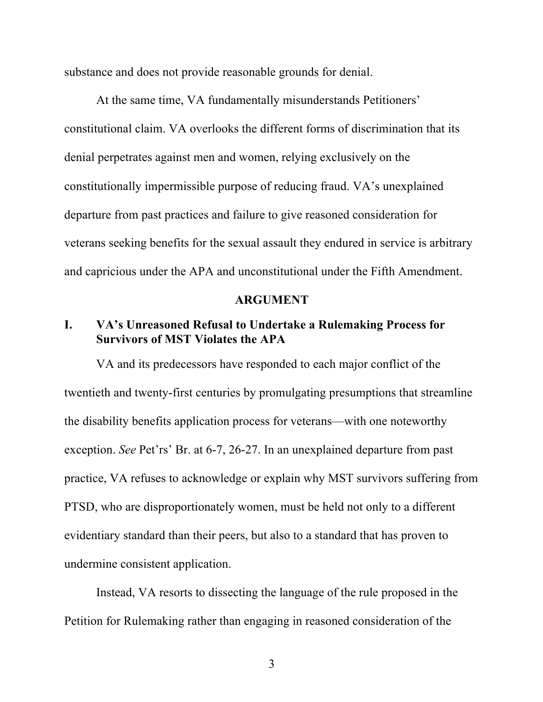substance and does not provide reasonable grounds for denial.

At the same time, VA fundamentally misunderstands Petitioners' constitutional claim. VA overlooks the different forms of discrimination that its denial perpetrates against men and women, relying exclusively on the constitutionally impermissible purpose of reducing fraud. VA's unexplained departure from past practices and failure to give reasoned consideration for veterans seeking benefits for the sexual assault they endured in service is arbitrary and capricious under the APA and unconstitutional under the Fifth Amendment.

#### **ARGUMENT**

### **I. VA's Unreasoned Refusal to Undertake a Rulemaking Process for Survivors of MST Violates the APA**

VA and its predecessors have responded to each major conflict of the twentieth and twenty-first centuries by promulgating presumptions that streamline the disability benefits application process for veterans—with one noteworthy exception. *See* Pet'rs' Br. at 6-7, 26-27. In an unexplained departure from past practice, VA refuses to acknowledge or explain why MST survivors suffering from PTSD, who are disproportionately women, must be held not only to a different evidentiary standard than their peers, but also to a standard that has proven to undermine consistent application.

Instead, VA resorts to dissecting the language of the rule proposed in the Petition for Rulemaking rather than engaging in reasoned consideration of the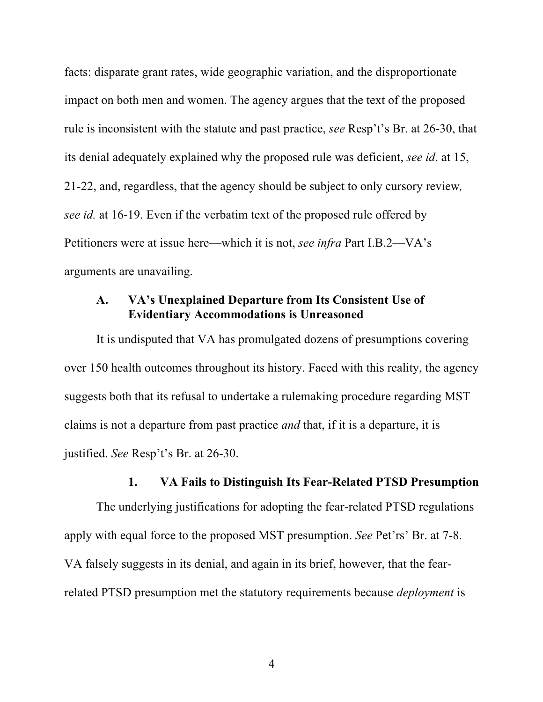facts: disparate grant rates, wide geographic variation, and the disproportionate impact on both men and women. The agency argues that the text of the proposed rule is inconsistent with the statute and past practice, *see* Resp't's Br. at 26-30, that its denial adequately explained why the proposed rule was deficient, *see id*. at 15, 21-22, and, regardless, that the agency should be subject to only cursory review*, see id.* at 16-19. Even if the verbatim text of the proposed rule offered by Petitioners were at issue here—which it is not, *see infra* Part I.B.2—VA's arguments are unavailing.

### **A. VA's Unexplained Departure from Its Consistent Use of Evidentiary Accommodations is Unreasoned**

It is undisputed that VA has promulgated dozens of presumptions covering over 150 health outcomes throughout its history. Faced with this reality, the agency suggests both that its refusal to undertake a rulemaking procedure regarding MST claims is not a departure from past practice *and* that, if it is a departure, it is justified. *See* Resp't's Br. at 26-30.

# **1. VA Fails to Distinguish Its Fear-Related PTSD Presumption**

The underlying justifications for adopting the fear-related PTSD regulations apply with equal force to the proposed MST presumption. *See* Pet'rs' Br. at 7-8. VA falsely suggests in its denial, and again in its brief, however, that the fearrelated PTSD presumption met the statutory requirements because *deployment* is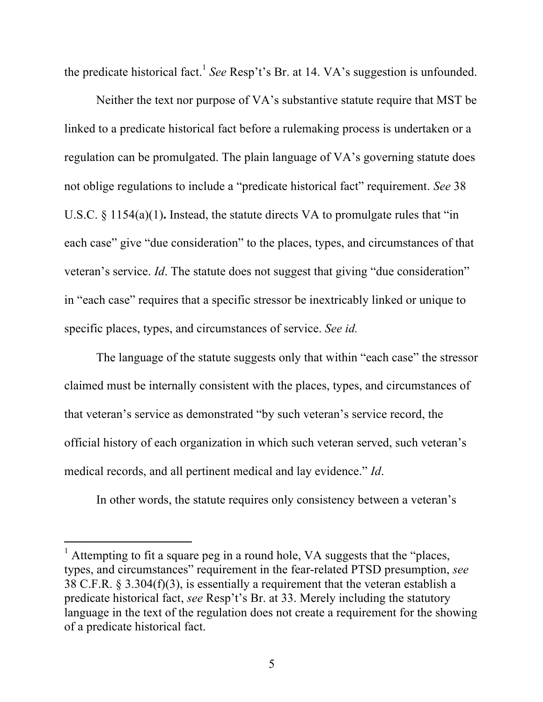the predicate historical fact. <sup>1</sup> *See* Resp't's Br. at 14. VA's suggestion is unfounded.

Neither the text nor purpose of VA's substantive statute require that MST be linked to a predicate historical fact before a rulemaking process is undertaken or a regulation can be promulgated. The plain language of VA's governing statute does not oblige regulations to include a "predicate historical fact" requirement. *See* 38 U.S.C. § 1154(a)(1)**.** Instead, the statute directs VA to promulgate rules that "in each case" give "due consideration" to the places, types, and circumstances of that veteran's service. *Id*. The statute does not suggest that giving "due consideration" in "each case" requires that a specific stressor be inextricably linked or unique to specific places, types, and circumstances of service. *See id.*

The language of the statute suggests only that within "each case" the stressor claimed must be internally consistent with the places, types, and circumstances of that veteran's service as demonstrated "by such veteran's service record, the official history of each organization in which such veteran served, such veteran's medical records, and all pertinent medical and lay evidence." *Id*.

In other words, the statute requires only consistency between a veteran's

<sup>&</sup>lt;sup>1</sup> Attempting to fit a square peg in a round hole, VA suggests that the "places, types, and circumstances" requirement in the fear-related PTSD presumption, *see*  38 C.F.R. § 3.304(f)(3), is essentially a requirement that the veteran establish a predicate historical fact, *see* Resp't's Br. at 33. Merely including the statutory language in the text of the regulation does not create a requirement for the showing of a predicate historical fact.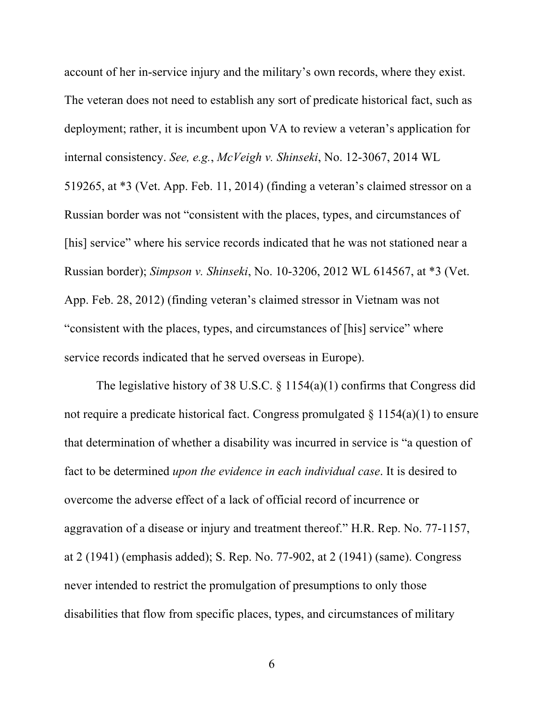account of her in-service injury and the military's own records, where they exist. The veteran does not need to establish any sort of predicate historical fact, such as deployment; rather, it is incumbent upon VA to review a veteran's application for internal consistency. *See, e.g.*, *McVeigh v. Shinseki*, No. 12-3067, 2014 WL 519265, at \*3 (Vet. App. Feb. 11, 2014) (finding a veteran's claimed stressor on a Russian border was not "consistent with the places, types, and circumstances of [his] service" where his service records indicated that he was not stationed near a Russian border); *Simpson v. Shinseki*, No. 10-3206, 2012 WL 614567, at \*3 (Vet. App. Feb. 28, 2012) (finding veteran's claimed stressor in Vietnam was not "consistent with the places, types, and circumstances of [his] service" where service records indicated that he served overseas in Europe).

The legislative history of 38 U.S.C. § 1154(a)(1) confirms that Congress did not require a predicate historical fact. Congress promulgated  $\S 1154(a)(1)$  to ensure that determination of whether a disability was incurred in service is "a question of fact to be determined *upon the evidence in each individual case*. It is desired to overcome the adverse effect of a lack of official record of incurrence or aggravation of a disease or injury and treatment thereof." H.R. Rep. No. 77-1157, at 2 (1941) (emphasis added); S. Rep. No. 77-902, at 2 (1941) (same). Congress never intended to restrict the promulgation of presumptions to only those disabilities that flow from specific places, types, and circumstances of military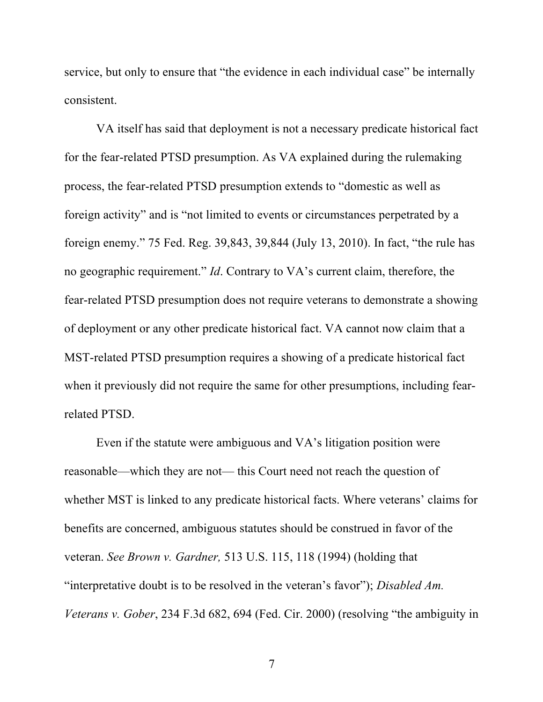service, but only to ensure that "the evidence in each individual case" be internally consistent.

VA itself has said that deployment is not a necessary predicate historical fact for the fear-related PTSD presumption. As VA explained during the rulemaking process, the fear-related PTSD presumption extends to "domestic as well as foreign activity" and is "not limited to events or circumstances perpetrated by a foreign enemy." 75 Fed. Reg. 39,843, 39,844 (July 13, 2010). In fact, "the rule has no geographic requirement." *Id*. Contrary to VA's current claim, therefore, the fear-related PTSD presumption does not require veterans to demonstrate a showing of deployment or any other predicate historical fact. VA cannot now claim that a MST-related PTSD presumption requires a showing of a predicate historical fact when it previously did not require the same for other presumptions, including fearrelated PTSD.

Even if the statute were ambiguous and VA's litigation position were reasonable—which they are not— this Court need not reach the question of whether MST is linked to any predicate historical facts. Where veterans' claims for benefits are concerned, ambiguous statutes should be construed in favor of the veteran. *See Brown v. Gardner,* 513 U.S. 115, 118 (1994) (holding that "interpretative doubt is to be resolved in the veteran's favor"); *Disabled Am. Veterans v. Gober*, 234 F.3d 682, 694 (Fed. Cir. 2000) (resolving "the ambiguity in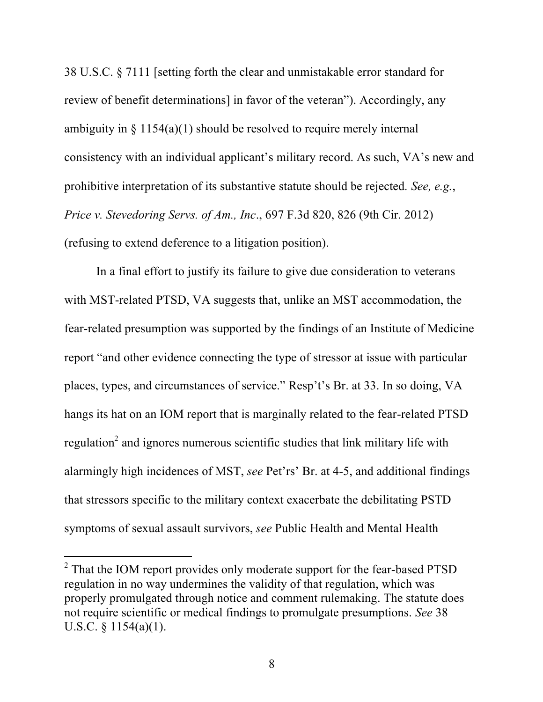38 U.S.C. § 7111 [setting forth the clear and unmistakable error standard for review of benefit determinations] in favor of the veteran"). Accordingly, any ambiguity in  $\S 1154(a)(1)$  should be resolved to require merely internal consistency with an individual applicant's military record. As such, VA's new and prohibitive interpretation of its substantive statute should be rejected*. See, e.g.*, *Price v. Stevedoring Servs. of Am., Inc*., 697 F.3d 820, 826 (9th Cir. 2012) (refusing to extend deference to a litigation position).

In a final effort to justify its failure to give due consideration to veterans with MST-related PTSD, VA suggests that, unlike an MST accommodation, the fear-related presumption was supported by the findings of an Institute of Medicine report "and other evidence connecting the type of stressor at issue with particular places, types, and circumstances of service." Resp't's Br. at 33. In so doing, VA hangs its hat on an IOM report that is marginally related to the fear-related PTSD regulation<sup>2</sup> and ignores numerous scientific studies that link military life with alarmingly high incidences of MST, *see* Pet'rs' Br. at 4-5, and additional findings that stressors specific to the military context exacerbate the debilitating PSTD symptoms of sexual assault survivors, *see* Public Health and Mental Health

l

 $2^2$  That the IOM report provides only moderate support for the fear-based PTSD regulation in no way undermines the validity of that regulation, which was properly promulgated through notice and comment rulemaking. The statute does not require scientific or medical findings to promulgate presumptions. *See* 38 U.S.C. § 1154(a)(1).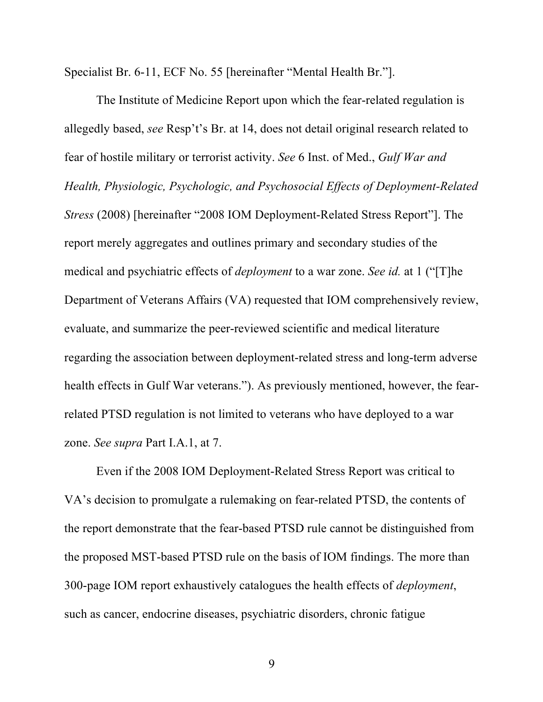Specialist Br. 6-11, ECF No. 55 [hereinafter "Mental Health Br."].

The Institute of Medicine Report upon which the fear-related regulation is allegedly based, *see* Resp't's Br. at 14, does not detail original research related to fear of hostile military or terrorist activity. *See* 6 Inst. of Med., *Gulf War and Health, Physiologic, Psychologic, and Psychosocial Effects of Deployment-Related Stress* (2008) [hereinafter "2008 IOM Deployment-Related Stress Report"]. The report merely aggregates and outlines primary and secondary studies of the medical and psychiatric effects of *deployment* to a war zone. *See id.* at 1 ("[T]he Department of Veterans Affairs (VA) requested that IOM comprehensively review, evaluate, and summarize the peer-reviewed scientific and medical literature regarding the association between deployment-related stress and long-term adverse health effects in Gulf War veterans."). As previously mentioned, however, the fearrelated PTSD regulation is not limited to veterans who have deployed to a war zone. *See supra* Part I.A.1, at 7.

Even if the 2008 IOM Deployment-Related Stress Report was critical to VA's decision to promulgate a rulemaking on fear-related PTSD, the contents of the report demonstrate that the fear-based PTSD rule cannot be distinguished from the proposed MST-based PTSD rule on the basis of IOM findings. The more than 300-page IOM report exhaustively catalogues the health effects of *deployment*, such as cancer, endocrine diseases, psychiatric disorders, chronic fatigue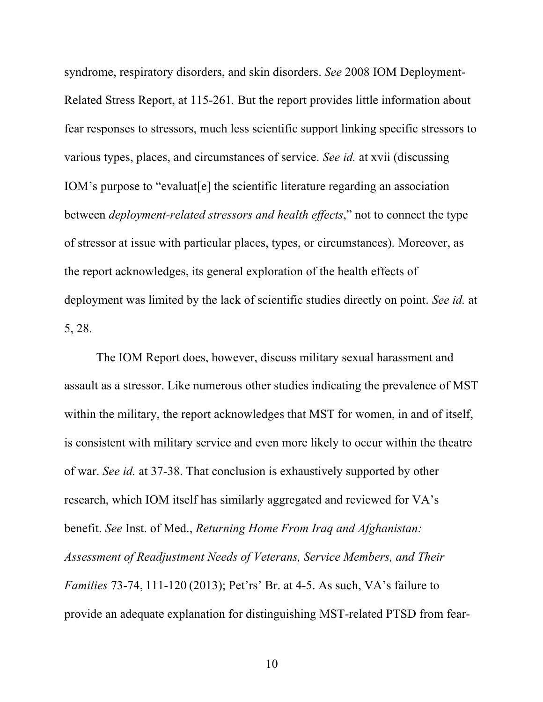syndrome, respiratory disorders, and skin disorders. *See* 2008 IOM Deployment-Related Stress Report, at 115-261*.* But the report provides little information about fear responses to stressors, much less scientific support linking specific stressors to various types, places, and circumstances of service. *See id.* at xvii (discussing IOM's purpose to "evaluat[e] the scientific literature regarding an association between *deployment-related stressors and health effects*," not to connect the type of stressor at issue with particular places, types, or circumstances)*.* Moreover, as the report acknowledges, its general exploration of the health effects of deployment was limited by the lack of scientific studies directly on point. *See id.* at 5, 28.

The IOM Report does, however, discuss military sexual harassment and assault as a stressor. Like numerous other studies indicating the prevalence of MST within the military, the report acknowledges that MST for women, in and of itself, is consistent with military service and even more likely to occur within the theatre of war. *See id.* at 37-38. That conclusion is exhaustively supported by other research, which IOM itself has similarly aggregated and reviewed for VA's benefit. *See* Inst. of Med., *Returning Home From Iraq and Afghanistan: Assessment of Readjustment Needs of Veterans, Service Members, and Their Families* 73-74, 111-120 (2013); Pet'rs' Br. at 4-5. As such, VA's failure to provide an adequate explanation for distinguishing MST-related PTSD from fear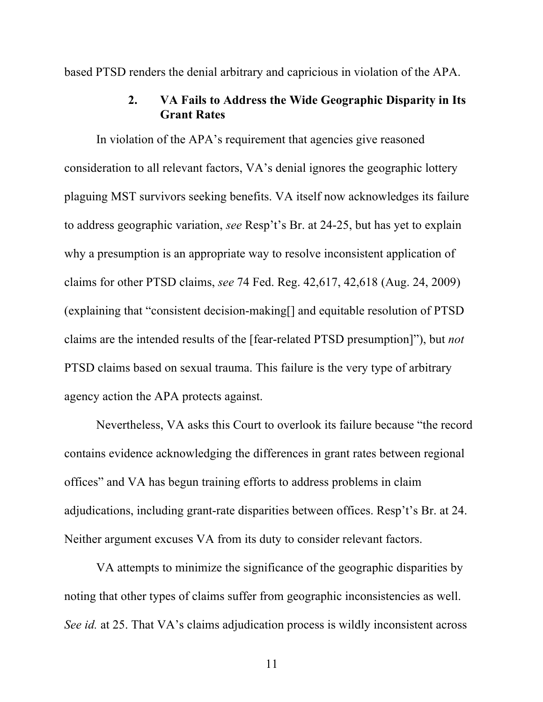based PTSD renders the denial arbitrary and capricious in violation of the APA.

### **2. VA Fails to Address the Wide Geographic Disparity in Its Grant Rates**

In violation of the APA's requirement that agencies give reasoned consideration to all relevant factors, VA's denial ignores the geographic lottery plaguing MST survivors seeking benefits. VA itself now acknowledges its failure to address geographic variation, *see* Resp't's Br. at 24-25, but has yet to explain why a presumption is an appropriate way to resolve inconsistent application of claims for other PTSD claims, *see* 74 Fed. Reg. 42,617, 42,618 (Aug. 24, 2009) (explaining that "consistent decision-making[] and equitable resolution of PTSD claims are the intended results of the [fear-related PTSD presumption]"), but *not* PTSD claims based on sexual trauma. This failure is the very type of arbitrary agency action the APA protects against.

Nevertheless, VA asks this Court to overlook its failure because "the record contains evidence acknowledging the differences in grant rates between regional offices" and VA has begun training efforts to address problems in claim adjudications, including grant-rate disparities between offices. Resp't's Br. at 24. Neither argument excuses VA from its duty to consider relevant factors.

VA attempts to minimize the significance of the geographic disparities by noting that other types of claims suffer from geographic inconsistencies as well. *See id.* at 25. That VA's claims adjudication process is wildly inconsistent across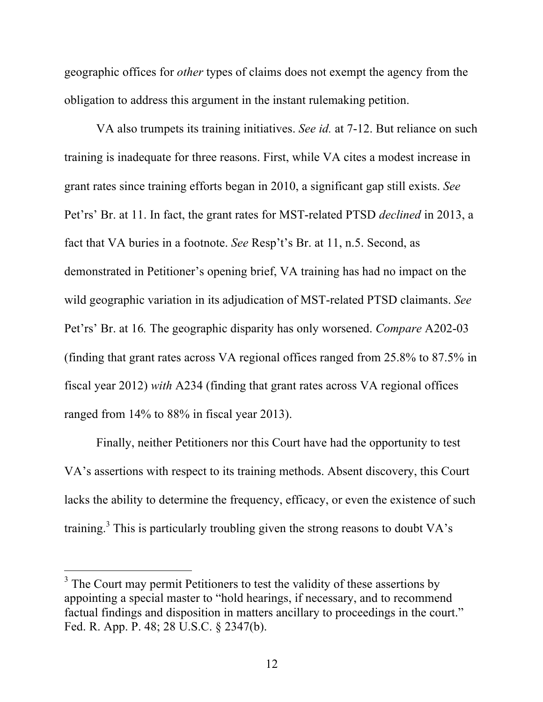geographic offices for *other* types of claims does not exempt the agency from the obligation to address this argument in the instant rulemaking petition.

VA also trumpets its training initiatives. *See id.* at 7-12. But reliance on such training is inadequate for three reasons. First, while VA cites a modest increase in grant rates since training efforts began in 2010, a significant gap still exists. *See*  Pet'rs' Br. at 11. In fact, the grant rates for MST-related PTSD *declined* in 2013, a fact that VA buries in a footnote. *See* Resp't's Br. at 11, n.5. Second, as demonstrated in Petitioner's opening brief, VA training has had no impact on the wild geographic variation in its adjudication of MST-related PTSD claimants. *See*  Pet'rs' Br. at 16*.* The geographic disparity has only worsened. *Compare* A202-03 (finding that grant rates across VA regional offices ranged from 25.8% to 87.5% in fiscal year 2012) *with* A234 (finding that grant rates across VA regional offices ranged from 14% to 88% in fiscal year 2013).

Finally, neither Petitioners nor this Court have had the opportunity to test VA's assertions with respect to its training methods. Absent discovery, this Court lacks the ability to determine the frequency, efficacy, or even the existence of such training.3 This is particularly troubling given the strong reasons to doubt VA's

 $3$  The Court may permit Petitioners to test the validity of these assertions by appointing a special master to "hold hearings, if necessary, and to recommend factual findings and disposition in matters ancillary to proceedings in the court." Fed. R. App. P. 48; 28 U.S.C. § 2347(b).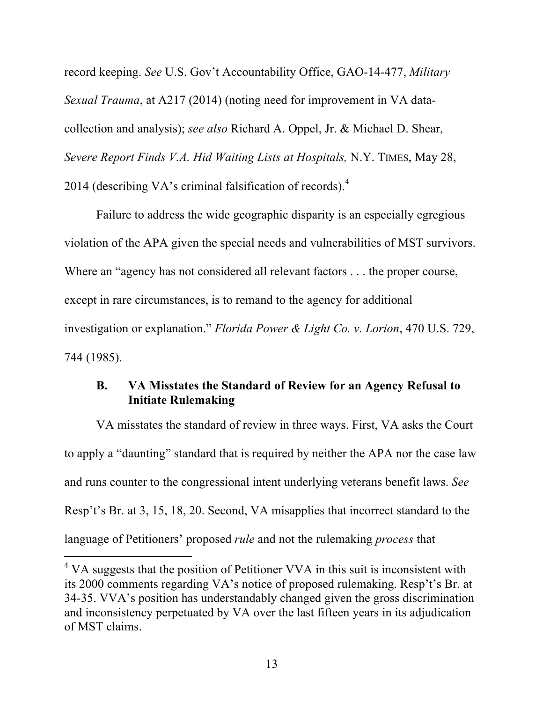record keeping. *See* U.S. Gov't Accountability Office, GAO-14-477, *Military Sexual Trauma*, at A217 (2014) (noting need for improvement in VA datacollection and analysis); *see also* Richard A. Oppel, Jr. & Michael D. Shear, *Severe Report Finds V.A. Hid Waiting Lists at Hospitals,* N.Y. TIMES, May 28, 2014 (describing VA's criminal falsification of records). $4$ 

Failure to address the wide geographic disparity is an especially egregious violation of the APA given the special needs and vulnerabilities of MST survivors. Where an "agency has not considered all relevant factors . . . the proper course, except in rare circumstances, is to remand to the agency for additional investigation or explanation." *Florida Power & Light Co. v. Lorion*, 470 U.S. 729, 744 (1985).

## **B. VA Misstates the Standard of Review for an Agency Refusal to Initiate Rulemaking**

VA misstates the standard of review in three ways. First, VA asks the Court to apply a "daunting" standard that is required by neither the APA nor the case law and runs counter to the congressional intent underlying veterans benefit laws. *See*  Resp't's Br. at 3, 15, 18, 20. Second, VA misapplies that incorrect standard to the language of Petitioners' proposed *rule* and not the rulemaking *process* that

l

 $4$  VA suggests that the position of Petitioner VVA in this suit is inconsistent with its 2000 comments regarding VA's notice of proposed rulemaking. Resp't's Br. at 34-35. VVA's position has understandably changed given the gross discrimination and inconsistency perpetuated by VA over the last fifteen years in its adjudication of MST claims.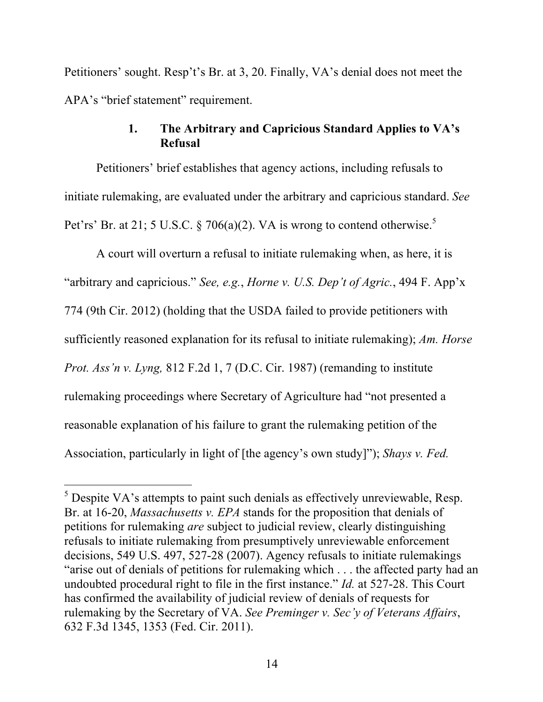Petitioners' sought. Resp't's Br. at 3, 20. Finally, VA's denial does not meet the APA's "brief statement" requirement.

### **1. The Arbitrary and Capricious Standard Applies to VA's Refusal**

Petitioners' brief establishes that agency actions, including refusals to initiate rulemaking, are evaluated under the arbitrary and capricious standard. *See*  Pet'rs' Br. at 21; 5 U.S.C. § 706(a)(2). VA is wrong to contend otherwise.<sup>5</sup>

A court will overturn a refusal to initiate rulemaking when, as here, it is "arbitrary and capricious." *See, e.g.*, *Horne v. U.S. Dep't of Agric.*, 494 F. App'x 774 (9th Cir. 2012) (holding that the USDA failed to provide petitioners with sufficiently reasoned explanation for its refusal to initiate rulemaking); *Am. Horse Prot. Ass'n v. Lyng,* 812 F.2d 1, 7 (D.C. Cir. 1987) (remanding to institute rulemaking proceedings where Secretary of Agriculture had "not presented a reasonable explanation of his failure to grant the rulemaking petition of the Association, particularly in light of [the agency's own study]"); *Shays v. Fed.* 

l

 $<sup>5</sup>$  Despite VA's attempts to paint such denials as effectively unreviewable, Resp.</sup> Br. at 16-20, *Massachusetts v. EPA* stands for the proposition that denials of petitions for rulemaking *are* subject to judicial review, clearly distinguishing refusals to initiate rulemaking from presumptively unreviewable enforcement decisions, 549 U.S. 497, 527-28 (2007). Agency refusals to initiate rulemakings "arise out of denials of petitions for rulemaking which . . . the affected party had an undoubted procedural right to file in the first instance." *Id.* at 527-28. This Court has confirmed the availability of judicial review of denials of requests for rulemaking by the Secretary of VA. *See Preminger v. Sec'y of Veterans Affairs*, 632 F.3d 1345, 1353 (Fed. Cir. 2011).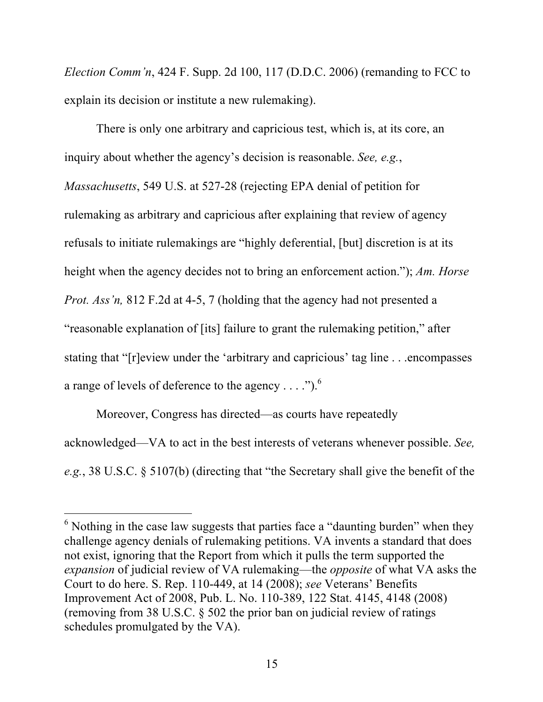*Election Comm'n*, 424 F. Supp. 2d 100, 117 (D.D.C. 2006) (remanding to FCC to explain its decision or institute a new rulemaking).

There is only one arbitrary and capricious test, which is, at its core, an inquiry about whether the agency's decision is reasonable. *See, e.g.*, *Massachusetts*, 549 U.S. at 527-28 (rejecting EPA denial of petition for rulemaking as arbitrary and capricious after explaining that review of agency refusals to initiate rulemakings are "highly deferential, [but] discretion is at its height when the agency decides not to bring an enforcement action."); *Am. Horse Prot. Ass'n,* 812 F.2d at 4-5, 7 (holding that the agency had not presented a "reasonable explanation of [its] failure to grant the rulemaking petition," after stating that "[r]eview under the 'arbitrary and capricious' tag line . . .encompasses a range of levels of deference to the agency  $\dots$ .").<sup>6</sup>

Moreover, Congress has directed—as courts have repeatedly acknowledged—VA to act in the best interests of veterans whenever possible. *See, e.g.*, 38 U.S.C. § 5107(b) (directing that "the Secretary shall give the benefit of the

 $6$  Nothing in the case law suggests that parties face a "daunting burden" when they challenge agency denials of rulemaking petitions. VA invents a standard that does not exist, ignoring that the Report from which it pulls the term supported the *expansion* of judicial review of VA rulemaking—the *opposite* of what VA asks the Court to do here. S. Rep. 110-449, at 14 (2008); *see* Veterans' Benefits Improvement Act of 2008, Pub. L. No. 110-389, 122 Stat. 4145, 4148 (2008) (removing from 38 U.S.C. § 502 the prior ban on judicial review of ratings schedules promulgated by the VA).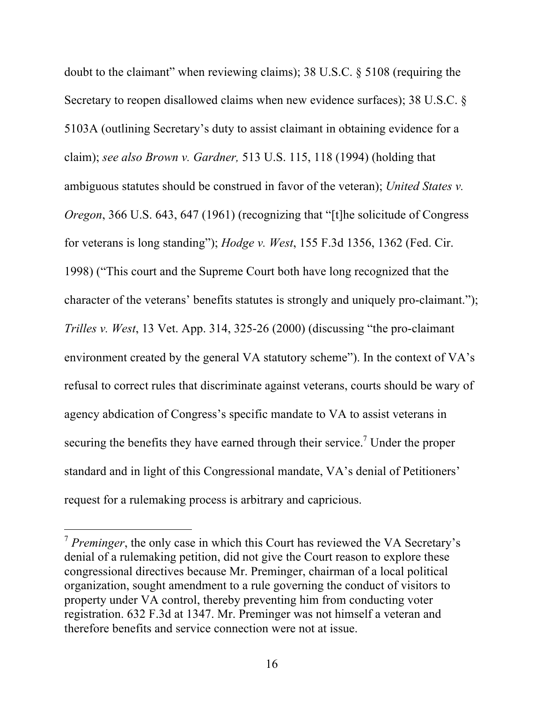doubt to the claimant" when reviewing claims); 38 U.S.C. § 5108 (requiring the Secretary to reopen disallowed claims when new evidence surfaces); 38 U.S.C. § 5103A (outlining Secretary's duty to assist claimant in obtaining evidence for a claim); *see also Brown v. Gardner,* 513 U.S. 115, 118 (1994) (holding that ambiguous statutes should be construed in favor of the veteran); *United States v. Oregon*, 366 U.S. 643, 647 (1961) (recognizing that "[t]he solicitude of Congress for veterans is long standing"); *Hodge v. West*, 155 F.3d 1356, 1362 (Fed. Cir. 1998) ("This court and the Supreme Court both have long recognized that the character of the veterans' benefits statutes is strongly and uniquely pro-claimant."); *Trilles v. West*, 13 Vet. App. 314, 325-26 (2000) (discussing "the pro-claimant environment created by the general VA statutory scheme"). In the context of VA's refusal to correct rules that discriminate against veterans, courts should be wary of agency abdication of Congress's specific mandate to VA to assist veterans in securing the benefits they have earned through their service.<sup>7</sup> Under the proper standard and in light of this Congressional mandate, VA's denial of Petitioners' request for a rulemaking process is arbitrary and capricious.

<sup>7</sup> *Preminger*, the only case in which this Court has reviewed the VA Secretary's denial of a rulemaking petition, did not give the Court reason to explore these congressional directives because Mr. Preminger, chairman of a local political organization, sought amendment to a rule governing the conduct of visitors to property under VA control, thereby preventing him from conducting voter registration. 632 F.3d at 1347. Mr. Preminger was not himself a veteran and therefore benefits and service connection were not at issue.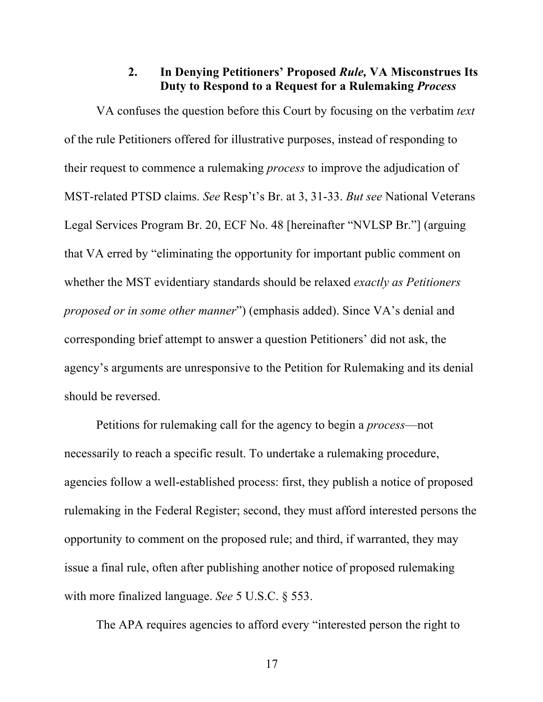#### **2. In Denying Petitioners' Proposed** *Rule,* **VA Misconstrues Its Duty to Respond to a Request for a Rulemaking** *Process*

VA confuses the question before this Court by focusing on the verbatim *text* of the rule Petitioners offered for illustrative purposes, instead of responding to their request to commence a rulemaking *process* to improve the adjudication of MST-related PTSD claims. *See* Resp't's Br. at 3, 31-33. *But see* National Veterans Legal Services Program Br. 20, ECF No. 48 [hereinafter "NVLSP Br."] (arguing that VA erred by "eliminating the opportunity for important public comment on whether the MST evidentiary standards should be relaxed *exactly as Petitioners proposed or in some other manner*") (emphasis added). Since VA's denial and corresponding brief attempt to answer a question Petitioners' did not ask, the agency's arguments are unresponsive to the Petition for Rulemaking and its denial should be reversed.

Petitions for rulemaking call for the agency to begin a *process*—not necessarily to reach a specific result. To undertake a rulemaking procedure, agencies follow a well-established process: first, they publish a notice of proposed rulemaking in the Federal Register; second, they must afford interested persons the opportunity to comment on the proposed rule; and third, if warranted, they may issue a final rule, often after publishing another notice of proposed rulemaking with more finalized language. *See* 5 U.S.C. § 553.

The APA requires agencies to afford every "interested person the right to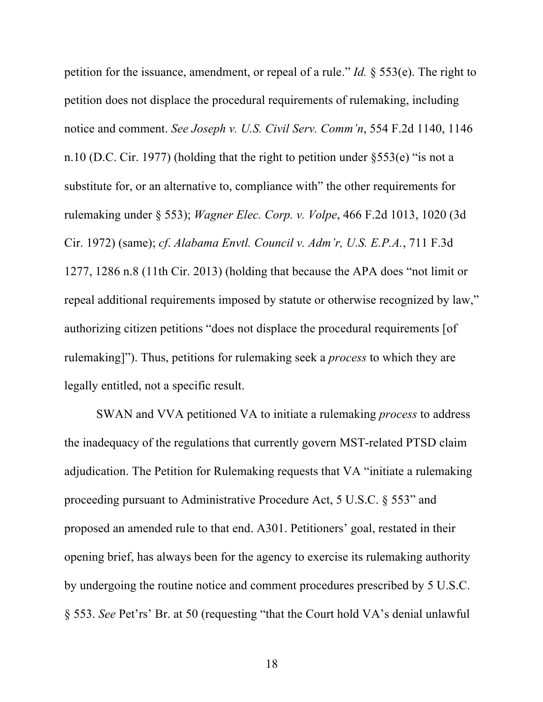petition for the issuance, amendment, or repeal of a rule." *Id.* § 553(e). The right to petition does not displace the procedural requirements of rulemaking, including notice and comment. *See Joseph v. U.S. Civil Serv. Comm'n*, 554 F.2d 1140, 1146 n.10 (D.C. Cir. 1977) (holding that the right to petition under §553(e) "is not a substitute for, or an alternative to, compliance with" the other requirements for rulemaking under § 553); *Wagner Elec. Corp. v. Volpe*, 466 F.2d 1013, 1020 (3d Cir. 1972) (same); *cf*. *Alabama Envtl. Council v. Adm'r, U.S. E.P.A.*, 711 F.3d 1277, 1286 n.8 (11th Cir. 2013) (holding that because the APA does "not limit or repeal additional requirements imposed by statute or otherwise recognized by law," authorizing citizen petitions "does not displace the procedural requirements [of rulemaking]"). Thus, petitions for rulemaking seek a *process* to which they are legally entitled, not a specific result.

SWAN and VVA petitioned VA to initiate a rulemaking *process* to address the inadequacy of the regulations that currently govern MST-related PTSD claim adjudication. The Petition for Rulemaking requests that VA "initiate a rulemaking proceeding pursuant to Administrative Procedure Act, 5 U.S.C. § 553" and proposed an amended rule to that end. A301. Petitioners' goal, restated in their opening brief, has always been for the agency to exercise its rulemaking authority by undergoing the routine notice and comment procedures prescribed by 5 U.S.C. § 553. *See* Pet'rs' Br. at 50 (requesting "that the Court hold VA's denial unlawful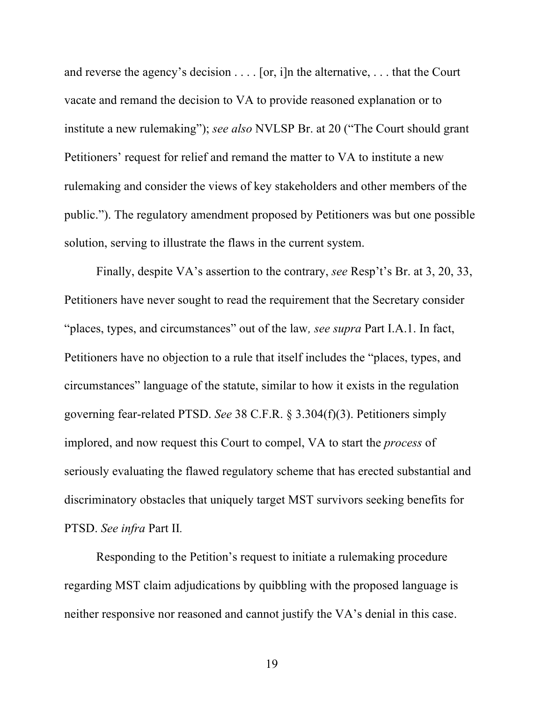and reverse the agency's decision . . . . [or, i]n the alternative, . . . that the Court vacate and remand the decision to VA to provide reasoned explanation or to institute a new rulemaking"); *see also* NVLSP Br. at 20 ("The Court should grant Petitioners' request for relief and remand the matter to VA to institute a new rulemaking and consider the views of key stakeholders and other members of the public."). The regulatory amendment proposed by Petitioners was but one possible solution, serving to illustrate the flaws in the current system.

Finally, despite VA's assertion to the contrary, *see* Resp't's Br. at 3, 20, 33, Petitioners have never sought to read the requirement that the Secretary consider "places, types, and circumstances" out of the law*, see supra* Part I.A.1. In fact, Petitioners have no objection to a rule that itself includes the "places, types, and circumstances" language of the statute, similar to how it exists in the regulation governing fear-related PTSD. *See* 38 C.F.R. § 3.304(f)(3). Petitioners simply implored, and now request this Court to compel, VA to start the *process* of seriously evaluating the flawed regulatory scheme that has erected substantial and discriminatory obstacles that uniquely target MST survivors seeking benefits for PTSD. *See infra* Part II*.* 

Responding to the Petition's request to initiate a rulemaking procedure regarding MST claim adjudications by quibbling with the proposed language is neither responsive nor reasoned and cannot justify the VA's denial in this case.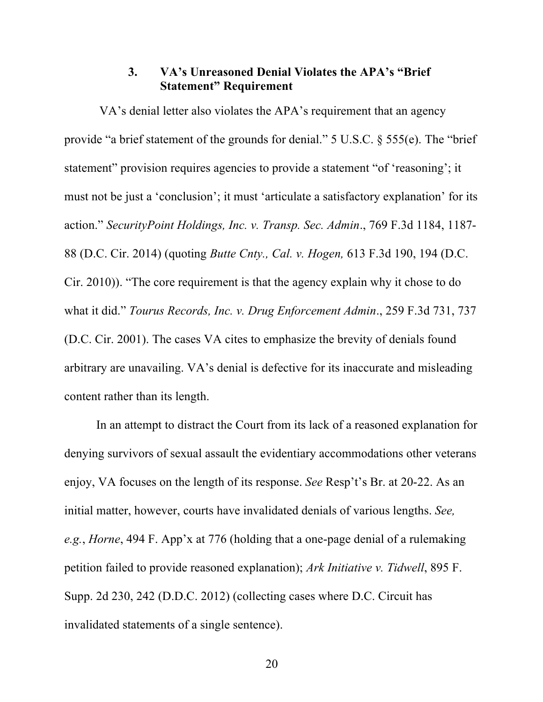#### **3. VA's Unreasoned Denial Violates the APA's "Brief Statement" Requirement**

VA's denial letter also violates the APA's requirement that an agency provide "a brief statement of the grounds for denial." 5 U.S.C. § 555(e). The "brief statement" provision requires agencies to provide a statement "of 'reasoning'; it must not be just a 'conclusion'; it must 'articulate a satisfactory explanation' for its action." *SecurityPoint Holdings, Inc. v. Transp. Sec. Admin*., 769 F.3d 1184, 1187- 88 (D.C. Cir. 2014) (quoting *Butte Cnty., Cal. v. Hogen,* 613 F.3d 190, 194 (D.C. Cir. 2010)). "The core requirement is that the agency explain why it chose to do what it did." *Tourus Records, Inc. v. Drug Enforcement Admin*., 259 F.3d 731, 737 (D.C. Cir. 2001). The cases VA cites to emphasize the brevity of denials found arbitrary are unavailing. VA's denial is defective for its inaccurate and misleading content rather than its length.

In an attempt to distract the Court from its lack of a reasoned explanation for denying survivors of sexual assault the evidentiary accommodations other veterans enjoy, VA focuses on the length of its response. *See* Resp't's Br. at 20-22. As an initial matter, however, courts have invalidated denials of various lengths. *See, e.g.*, *Horne*, 494 F. App'x at 776 (holding that a one-page denial of a rulemaking petition failed to provide reasoned explanation); *Ark Initiative v. Tidwell*, 895 F. Supp. 2d 230, 242 (D.D.C. 2012) (collecting cases where D.C. Circuit has invalidated statements of a single sentence).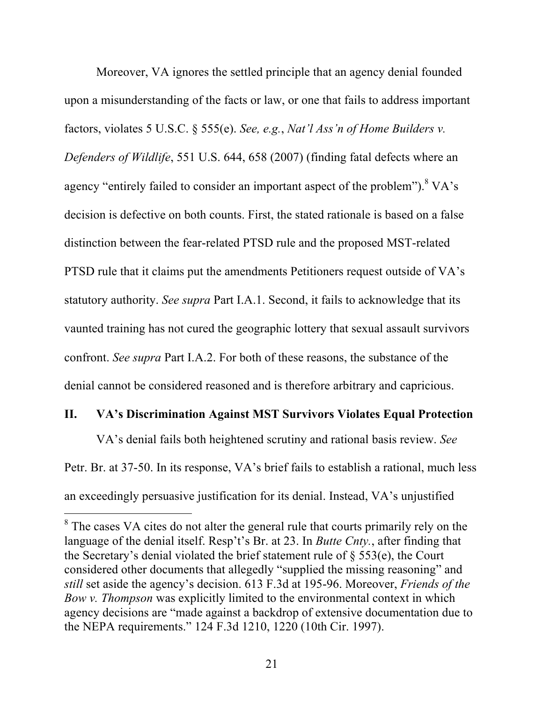Moreover, VA ignores the settled principle that an agency denial founded upon a misunderstanding of the facts or law, or one that fails to address important factors, violates 5 U.S.C. § 555(e). *See, e.g.*, *Nat'l Ass'n of Home Builders v. Defenders of Wildlife*, 551 U.S. 644, 658 (2007) (finding fatal defects where an agency "entirely failed to consider an important aspect of the problem").  $8\,\mathrm{VA}$ 's decision is defective on both counts. First, the stated rationale is based on a false distinction between the fear-related PTSD rule and the proposed MST-related PTSD rule that it claims put the amendments Petitioners request outside of VA's statutory authority. *See supra* Part I.A.1. Second, it fails to acknowledge that its vaunted training has not cured the geographic lottery that sexual assault survivors confront. *See supra* Part I.A.2. For both of these reasons, the substance of the denial cannot be considered reasoned and is therefore arbitrary and capricious.

#### **II. VA's Discrimination Against MST Survivors Violates Equal Protection**

VA's denial fails both heightened scrutiny and rational basis review. *See* Petr. Br. at 37-50. In its response, VA's brief fails to establish a rational, much less an exceedingly persuasive justification for its denial. Instead, VA's unjustified

<sup>&</sup>lt;sup>8</sup> The cases VA cites do not alter the general rule that courts primarily rely on the language of the denial itself. Resp't's Br. at 23. In *Butte Cnty.*, after finding that the Secretary's denial violated the brief statement rule of § 553(e), the Court considered other documents that allegedly "supplied the missing reasoning" and *still* set aside the agency's decision. 613 F.3d at 195-96. Moreover, *Friends of the Bow v. Thompson* was explicitly limited to the environmental context in which agency decisions are "made against a backdrop of extensive documentation due to the NEPA requirements." 124 F.3d 1210, 1220 (10th Cir. 1997).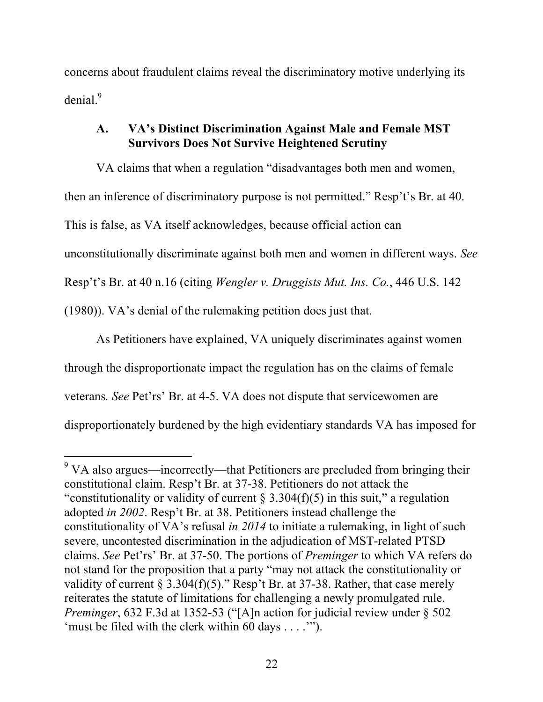concerns about fraudulent claims reveal the discriminatory motive underlying its denial.<sup>9</sup>

### **A. VA's Distinct Discrimination Against Male and Female MST Survivors Does Not Survive Heightened Scrutiny**

VA claims that when a regulation "disadvantages both men and women, then an inference of discriminatory purpose is not permitted." Resp't's Br. at 40. This is false, as VA itself acknowledges, because official action can unconstitutionally discriminate against both men and women in different ways. *See*  Resp't's Br. at 40 n.16 (citing *Wengler v. Druggists Mut. Ins. Co.*, 446 U.S. 142 (1980)). VA's denial of the rulemaking petition does just that.

As Petitioners have explained, VA uniquely discriminates against women through the disproportionate impact the regulation has on the claims of female veterans*. See* Pet'rs' Br. at 4-5. VA does not dispute that servicewomen are disproportionately burdened by the high evidentiary standards VA has imposed for

 $9$  VA also argues—incorrectly—that Petitioners are precluded from bringing their constitutional claim. Resp't Br. at 37-38. Petitioners do not attack the "constitutionality or validity of current  $\S 3.304(f)(5)$  in this suit," a regulation adopted *in 2002*. Resp't Br. at 38. Petitioners instead challenge the constitutionality of VA's refusal *in 2014* to initiate a rulemaking, in light of such severe, uncontested discrimination in the adjudication of MST-related PTSD claims. *See* Pet'rs' Br. at 37-50. The portions of *Preminger* to which VA refers do not stand for the proposition that a party "may not attack the constitutionality or validity of current § 3.304(f)(5)." Resp't Br. at 37-38. Rather, that case merely reiterates the statute of limitations for challenging a newly promulgated rule. *Preminger*, 632 F.3d at 1352-53 ("[A]n action for judicial review under § 502 'must be filed with the clerk within 60 days . . . .'").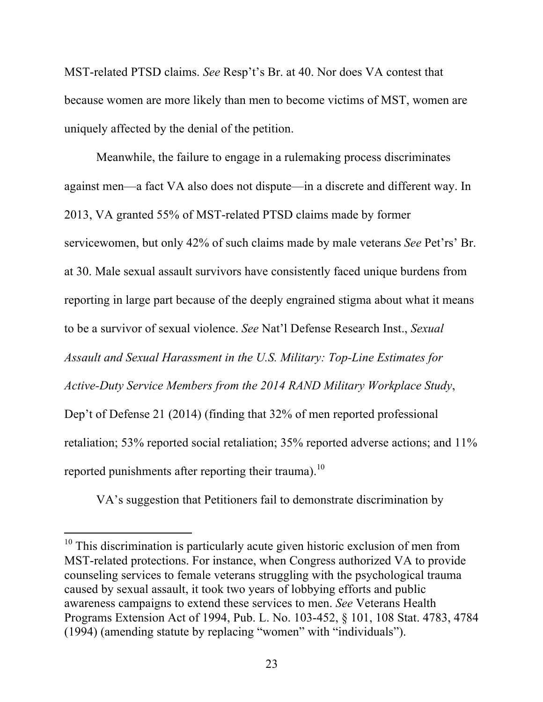MST-related PTSD claims. *See* Resp't's Br. at 40. Nor does VA contest that because women are more likely than men to become victims of MST, women are uniquely affected by the denial of the petition.

Meanwhile, the failure to engage in a rulemaking process discriminates against men—a fact VA also does not dispute—in a discrete and different way. In 2013, VA granted 55% of MST-related PTSD claims made by former servicewomen, but only 42% of such claims made by male veterans *See* Pet'rs' Br. at 30. Male sexual assault survivors have consistently faced unique burdens from reporting in large part because of the deeply engrained stigma about what it means to be a survivor of sexual violence. *See* Nat'l Defense Research Inst., *Sexual Assault and Sexual Harassment in the U.S. Military: Top-Line Estimates for Active-Duty Service Members from the 2014 RAND Military Workplace Study*, Dep't of Defense 21 (2014) (finding that 32% of men reported professional retaliation; 53% reported social retaliation; 35% reported adverse actions; and 11% reported punishments after reporting their trauma).<sup>10</sup>

VA's suggestion that Petitioners fail to demonstrate discrimination by

<sup>&</sup>lt;sup>10</sup> This discrimination is particularly acute given historic exclusion of men from MST-related protections. For instance, when Congress authorized VA to provide counseling services to female veterans struggling with the psychological trauma caused by sexual assault, it took two years of lobbying efforts and public awareness campaigns to extend these services to men. *See* Veterans Health Programs Extension Act of 1994, Pub. L. No. 103-452, § 101, 108 Stat. 4783, 4784 (1994) (amending statute by replacing "women" with "individuals").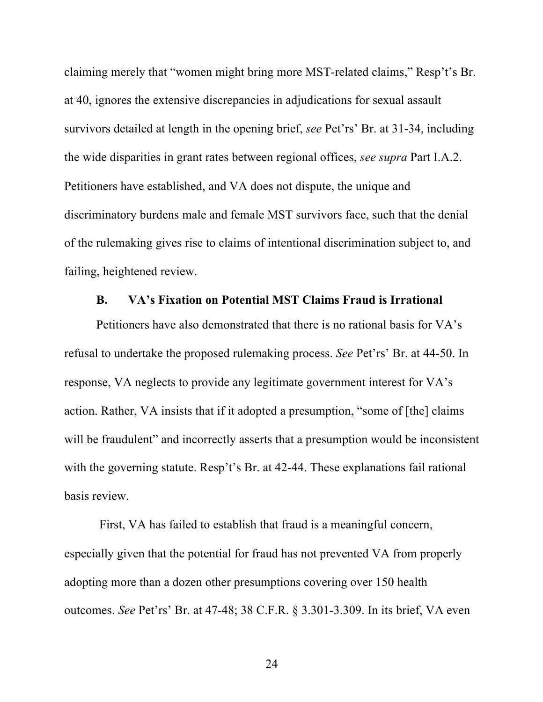claiming merely that "women might bring more MST-related claims," Resp't's Br. at 40, ignores the extensive discrepancies in adjudications for sexual assault survivors detailed at length in the opening brief, *see* Pet'rs' Br. at 31-34, including the wide disparities in grant rates between regional offices, *see supra* Part I.A.2. Petitioners have established, and VA does not dispute, the unique and discriminatory burdens male and female MST survivors face, such that the denial of the rulemaking gives rise to claims of intentional discrimination subject to, and failing, heightened review.

#### **B. VA's Fixation on Potential MST Claims Fraud is Irrational**

Petitioners have also demonstrated that there is no rational basis for VA's refusal to undertake the proposed rulemaking process. *See* Pet'rs' Br. at 44-50. In response, VA neglects to provide any legitimate government interest for VA's action. Rather, VA insists that if it adopted a presumption, "some of [the] claims will be fraudulent" and incorrectly asserts that a presumption would be inconsistent with the governing statute. Resp't's Br. at 42-44. These explanations fail rational basis review.

First, VA has failed to establish that fraud is a meaningful concern, especially given that the potential for fraud has not prevented VA from properly adopting more than a dozen other presumptions covering over 150 health outcomes. *See* Pet'rs' Br. at 47-48; 38 C.F.R. § 3.301-3.309. In its brief, VA even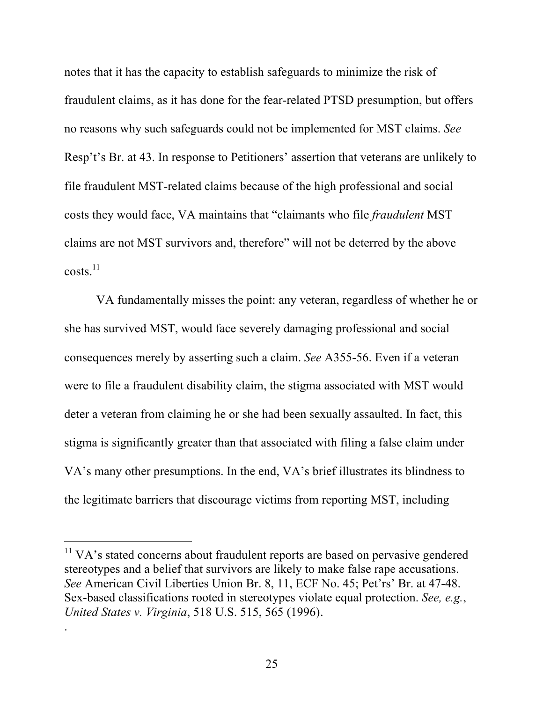notes that it has the capacity to establish safeguards to minimize the risk of fraudulent claims, as it has done for the fear-related PTSD presumption, but offers no reasons why such safeguards could not be implemented for MST claims. *See*  Resp't's Br. at 43. In response to Petitioners' assertion that veterans are unlikely to file fraudulent MST-related claims because of the high professional and social costs they would face, VA maintains that "claimants who file *fraudulent* MST claims are not MST survivors and, therefore" will not be deterred by the above costs.11

VA fundamentally misses the point: any veteran, regardless of whether he or she has survived MST, would face severely damaging professional and social consequences merely by asserting such a claim. *See* A355-56. Even if a veteran were to file a fraudulent disability claim, the stigma associated with MST would deter a veteran from claiming he or she had been sexually assaulted. In fact, this stigma is significantly greater than that associated with filing a false claim under VA's many other presumptions. In the end, VA's brief illustrates its blindness to the legitimate barriers that discourage victims from reporting MST, including

 $\overline{a}$ 

.

<sup>&</sup>lt;sup>11</sup> VA's stated concerns about fraudulent reports are based on pervasive gendered stereotypes and a belief that survivors are likely to make false rape accusations. *See* American Civil Liberties Union Br. 8, 11, ECF No. 45; Pet'rs' Br. at 47-48. Sex-based classifications rooted in stereotypes violate equal protection. *See, e.g.*, *United States v. Virginia*, 518 U.S. 515, 565 (1996).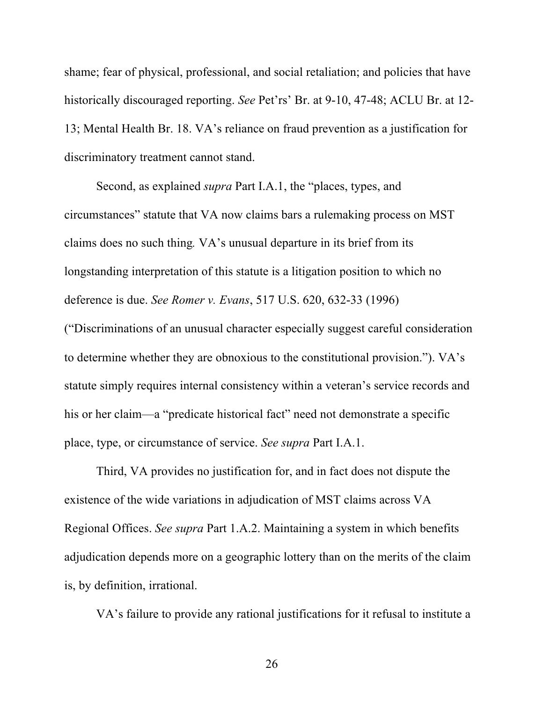shame; fear of physical, professional, and social retaliation; and policies that have historically discouraged reporting. *See* Pet'rs' Br. at 9-10, 47-48; ACLU Br. at 12- 13; Mental Health Br. 18. VA's reliance on fraud prevention as a justification for discriminatory treatment cannot stand.

Second, as explained *supra* Part I.A.1, the "places, types, and circumstances" statute that VA now claims bars a rulemaking process on MST claims does no such thing*.* VA's unusual departure in its brief from its longstanding interpretation of this statute is a litigation position to which no deference is due. *See Romer v. Evans*, 517 U.S. 620, 632-33 (1996) ("Discriminations of an unusual character especially suggest careful consideration to determine whether they are obnoxious to the constitutional provision."). VA's statute simply requires internal consistency within a veteran's service records and

his or her claim—a "predicate historical fact" need not demonstrate a specific place, type, or circumstance of service. *See supra* Part I.A.1.

Third, VA provides no justification for, and in fact does not dispute the existence of the wide variations in adjudication of MST claims across VA Regional Offices. *See supra* Part 1.A.2. Maintaining a system in which benefits adjudication depends more on a geographic lottery than on the merits of the claim is, by definition, irrational.

VA's failure to provide any rational justifications for it refusal to institute a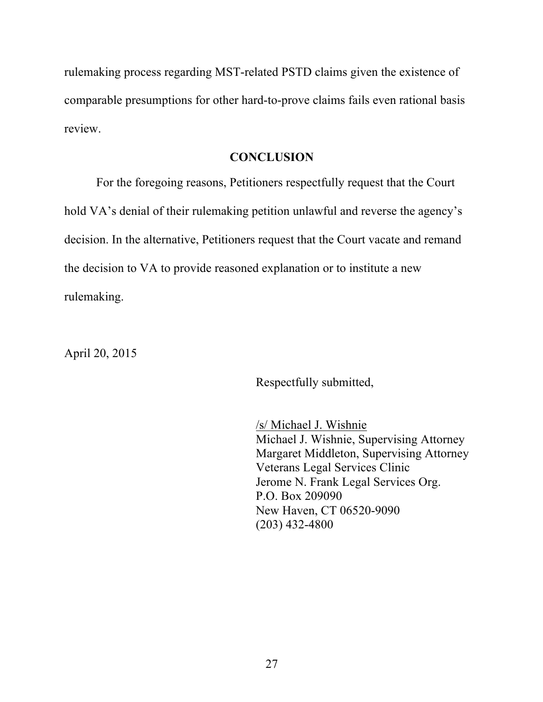rulemaking process regarding MST-related PSTD claims given the existence of comparable presumptions for other hard-to-prove claims fails even rational basis review.

#### **CONCLUSION**

For the foregoing reasons, Petitioners respectfully request that the Court hold VA's denial of their rulemaking petition unlawful and reverse the agency's decision. In the alternative, Petitioners request that the Court vacate and remand the decision to VA to provide reasoned explanation or to institute a new rulemaking.

April 20, 2015

Respectfully submitted,

/s/ Michael J. Wishnie Michael J. Wishnie, Supervising Attorney Margaret Middleton, Supervising Attorney Veterans Legal Services Clinic Jerome N. Frank Legal Services Org. P.O. Box 209090 New Haven, CT 06520-9090 (203) 432-4800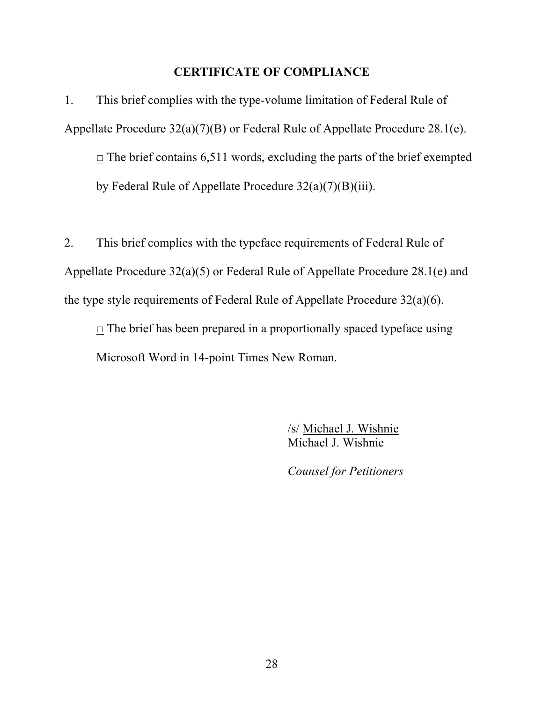#### **CERTIFICATE OF COMPLIANCE**

1. This brief complies with the type-volume limitation of Federal Rule of Appellate Procedure 32(a)(7)(B) or Federal Rule of Appellate Procedure 28.1(e).  $\Box$  The brief contains 6,511 words, excluding the parts of the brief exempted by Federal Rule of Appellate Procedure 32(a)(7)(B)(iii).

2. This brief complies with the typeface requirements of Federal Rule of Appellate Procedure 32(a)(5) or Federal Rule of Appellate Procedure 28.1(e) and the type style requirements of Federal Rule of Appellate Procedure 32(a)(6).

 $\Box$  The brief has been prepared in a proportionally spaced typeface using Microsoft Word in 14-point Times New Roman.

> /s/ Michael J. Wishnie Michael J. Wishnie

*Counsel for Petitioners*